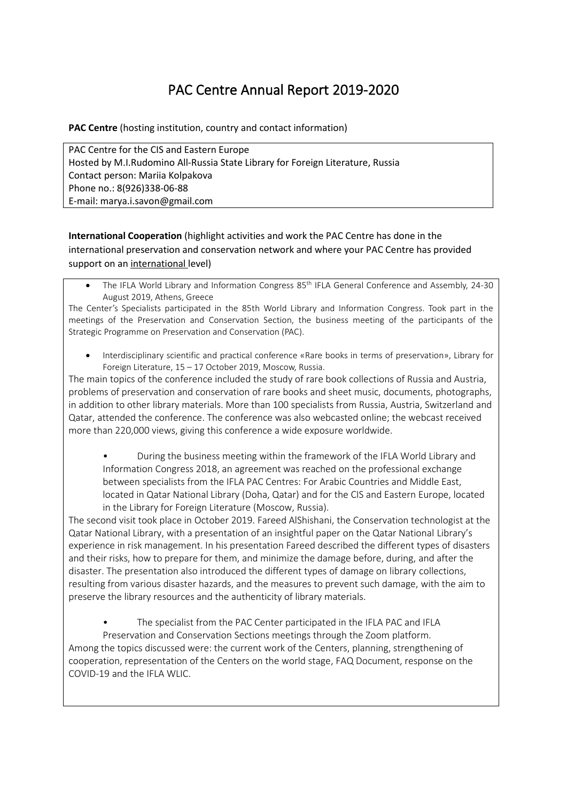## PAC Centre Annual Report 2019-2020

## **PAC Centre** (hosting institution, country and contact information)

PAC Centre for the CIS and Eastern Europe Hosted by M.I.Rudomino All-Russia State Library for Foreign Literature, Russia Contact person: Mariia Kolpakova Phone no.: 8(926)338-06-88 E-mail: marya.i.savon@gmail.com

**International Cooperation** (highlight activities and work the PAC Centre has done in the international preservation and conservation network and where your PAC Centre has provided support on an international level)

The IFLA World Library and Information Congress 85<sup>th</sup> IFLA General Conference and Assembly, 24-30 August 2019, Athens, Greece

The Center's Specialists participated in the 85th World Library and Information Congress. Took part in the meetings of the Preservation and Conservation Section, the business meeting of the participants of the Strategic Programme on Preservation and Conservation (PAC).

• Interdisciplinary scientific and practical conference «Rare books in terms of preservation», Library for Foreign Literature, 15 – 17 October 2019, Moscow, Russia.

The main topics of the conference included the study of rare book collections of Russia and Austria, problems of preservation and conservation of rare books and sheet music, documents, photographs, in addition to other library materials. More than 100 specialists from Russia, Austria, Switzerland and Qatar, attended the conference. The conference was also webcasted online; the webcast received more than 220,000 views, giving this conference a wide exposure worldwide.

• During the business meeting within the framework of the IFLA World Library and Information Congress 2018, an agreement was reached on the professional exchange between specialists from the IFLA PAC Centres: For Arabic Countries and Middle East, located in Qatar National Library (Doha, Qatar) and for the CIS and Eastern Europe, located in the Library for Foreign Literature (Moscow, Russia).

The second visit took place in October 2019. Fareed AlShishani, the Conservation technologist at the Qatar National Library, with a presentation of an insightful paper on the Qatar National Library's experience in risk management. In his presentation Fareed described the different types of disasters and their risks, how to prepare for them, and minimize the damage before, during, and after the disaster. The presentation also introduced the different types of damage on library collections, resulting from various disaster hazards, and the measures to prevent such damage, with the aim to preserve the library resources and the authenticity of library materials.

• The specialist from the PAC Center participated in the IFLA PAC and IFLA Preservation and Conservation Sections meetings through the Zoom platform. Among the topics discussed were: the current work of the Centers, planning, strengthening of

cooperation, representation of the Centers on the world stage, FAQ Document, response on the COVID-19 and the IFLA WLIC.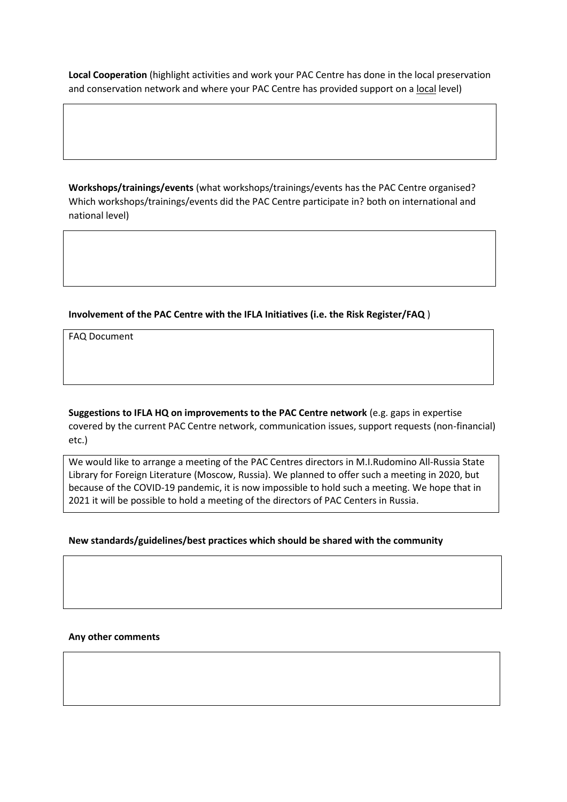**Local Cooperation** (highlight activities and work your PAC Centre has done in the local preservation and conservation network and where your PAC Centre has provided support on a local level)

**Workshops/trainings/events** (what workshops/trainings/events has the PAC Centre organised? Which workshops/trainings/events did the PAC Centre participate in? both on international and national level)

## **Involvement of the PAC Centre with the IFLA Initiatives (i.e. the Risk Register/FAQ** )

FAQ Document

**Suggestions to IFLA HQ on improvements to the PAC Centre network** (e.g. gaps in expertise covered by the current PAC Centre network, communication issues, support requests (non-financial) etc.)

We would like to arrange a meeting of the PAC Centres directors in M.I.Rudomino All-Russia State Library for Foreign Literature (Moscow, Russia). We planned to offer such a meeting in 2020, but because of the COVID-19 pandemic, it is now impossible to hold such a meeting. We hope that in 2021 it will be possible to hold a meeting of the directors of PAC Centers in Russia.

## **New standards/guidelines/best practices which should be shared with the community**

**Any other comments**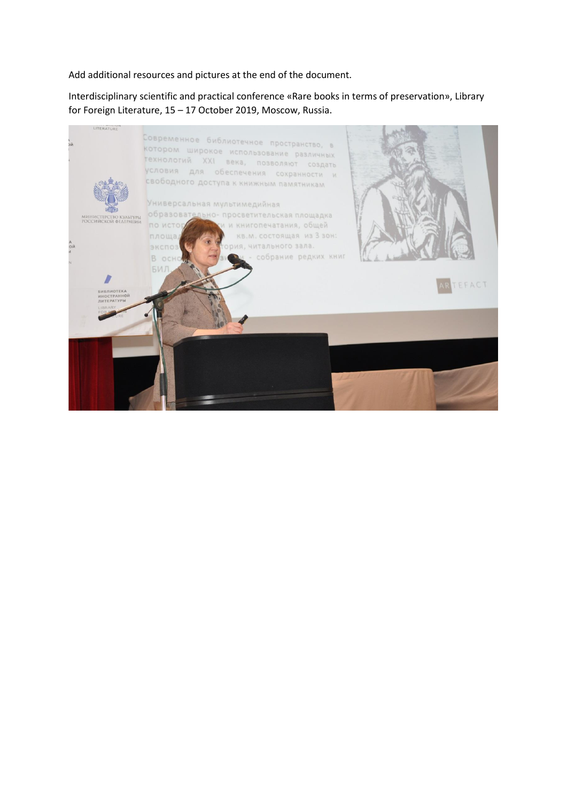Add additional resources and pictures at the end of the document.

Interdisciplinary scientific and practical conference «Rare books in terms of preservation», Library for Foreign Literature, 15 – 17 October 2019, Moscow, Russia.

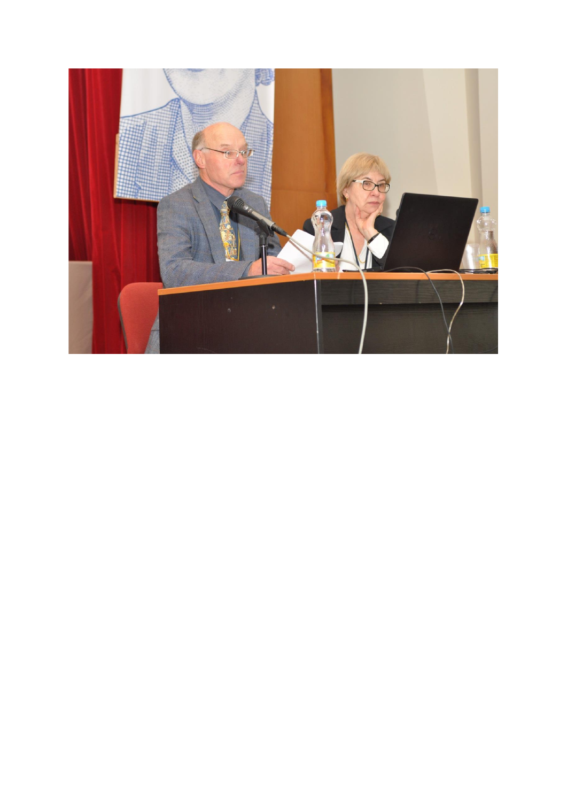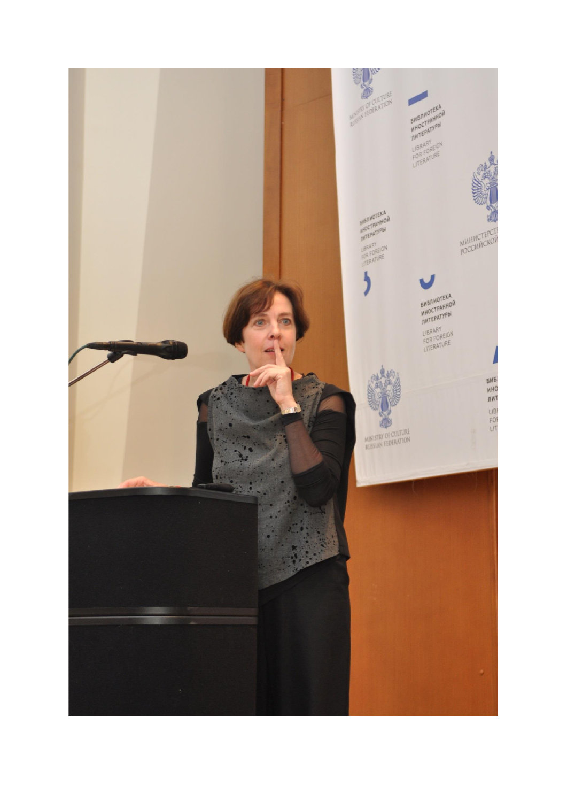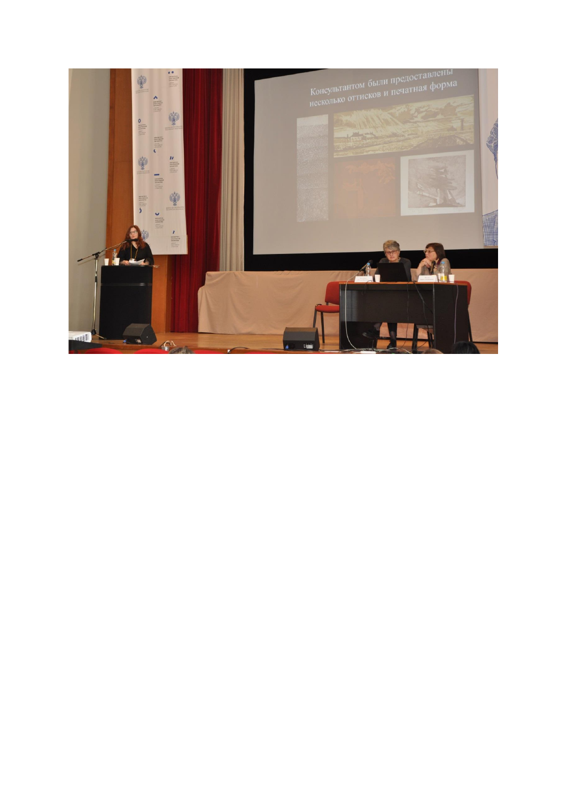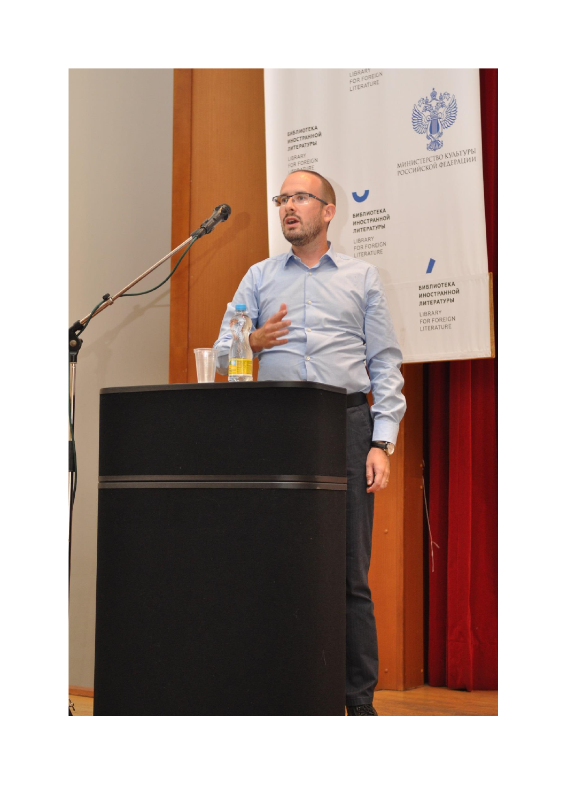